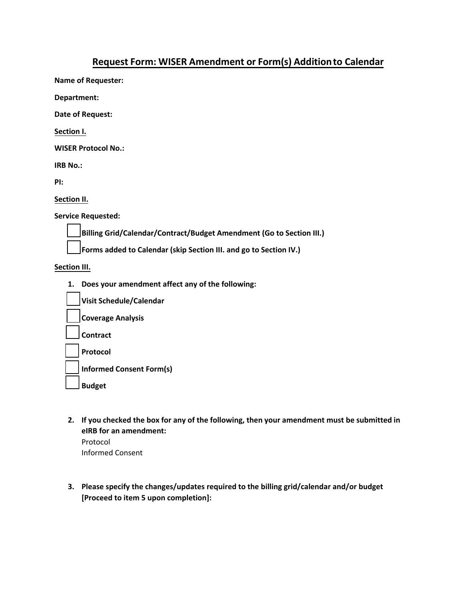## **Request Form: WISER Amendment or Form(s) Addition to Calendar**

**Name of Requester:** 

**Department:** 

**Date of Request:** 

**Section I.**

**WISER Protocol No.:** 

**IRB No.:** 

**PI:** 

**Section II.**

**Service Requested:** 

**Billing Grid/Calendar/Contract/Budget Amendment (Go to Section III.)** 

**Forms added to Calendar (skip Section III. and go to Section IV.)** 

**Section III.**

**1. Does your amendment affect any of the following:**

| Visit Schedule/Calendar         |
|---------------------------------|
| Coverage Analysis               |
| Contract                        |
| Protocol                        |
| <b>Informed Consent Form(s)</b> |
| <b>Budget</b>                   |

- **2. If you checked the box for any of the following, then your amendment must be submitted in eIRB for an amendment:** Protocol Informed Consent
- **3. Please specify the changes/updates required to the billing grid/calendar and/or budget [Proceed to item 5 upon completion]:**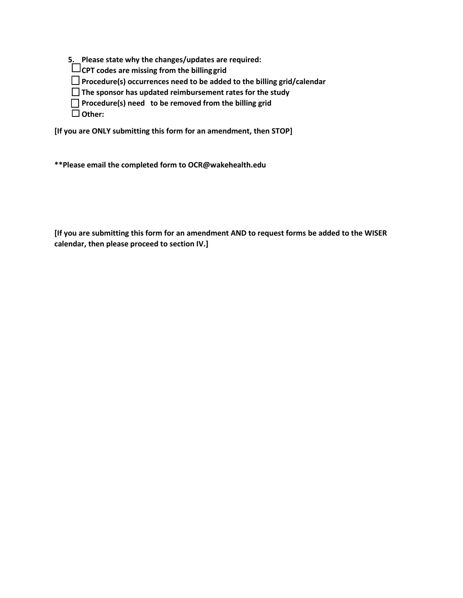**5. Please state why the changes/updates are required:**

**CPT codes are missing from the billinggrid**

**Procedure(s) occurrences need to be added to the billing grid/calendar**

**The sponsor has updated reimbursement rates for the study**

**Procedure(s) need to be removed from the billing grid**

**Other:**

**[If you are ONLY submitting this form for an amendment, then STOP]**

**\*\*Please email the completed form to OCR@wakehealth.edu**

**[If you are submitting this form for an amendment AND to request forms be added to the WISER calendar, then please proceed to section IV.]**